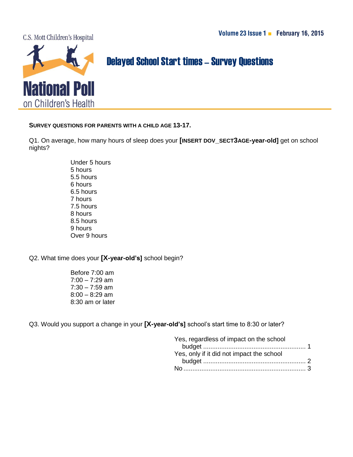C.S. Mott Children's Hospital



## **Delayed School Start times - Survey Questions**

**SURVEY QUESTIONS FOR PARENTS WITH A CHILD AGE 13-17.**

Q1. On average, how many hours of sleep does your **[INSERT DOV\_SECT3AGE-year-old]** get on school nights?

> Under 5 hours 5 hours 5.5 hours 6 hours 6.5 hours 7 hours 7.5 hours 8 hours 8.5 hours 9 hours Over 9 hours

## Q2. What time does your **[X-year-old's]** school begin?

Before 7:00 am  $7:00 - 7:29$  am  $7:30 - 7:59$  am 8:00 – 8:29 am 8:30 am or later

Q3. Would you support a change in your **[X-year-old's]** school's start time to 8:30 or later?

| Yes, regardless of impact on the school   |  |
|-------------------------------------------|--|
|                                           |  |
| Yes, only if it did not impact the school |  |
|                                           |  |
|                                           |  |